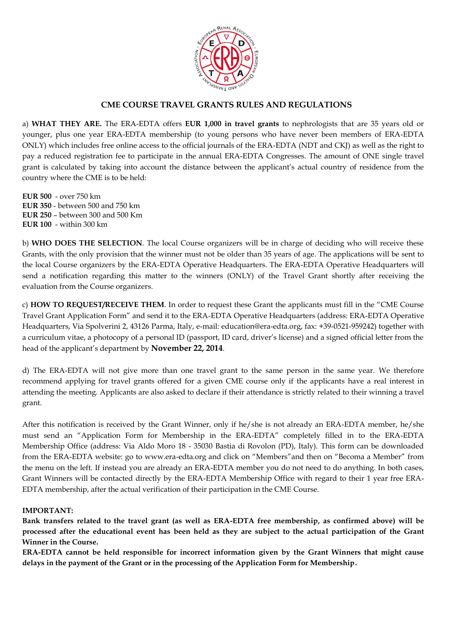

# **CME COURSE TRAVEL GRANTS RULES AND REGULATIONS**

a) **WHAT THEY ARE.** The ERA-EDTA offers **EUR 1,000 in travel grants** to nephrologists that are 35 years old or younger, plus one year ERA-EDTA membership (to young persons who have never been members of ERA-EDTA ONLY) which includes free online access to the official journals of the ERA-EDTA (NDT and CKJ) as well as the right to pay a reduced registration fee to participate in the annual ERA-EDTA Congresses. The amount of ONE single travel grant is calculated by taking into account the distance between the applicant's actual country of residence from the country where the CME is to be held:

**EUR 500** - over 750 km **EUR 350** - between 500 and 750 km **EUR 250** – between 300 and 500 Km **EUR 100** - within 300 km

b) **WHO DOES THE SELECTION**. The local Course organizers will be in charge of deciding who will receive these Grants, with the only provision that the winner must not be older than 35 years of age. The applications will be sent to the local Course organizers by the ERA-EDTA Operative Headquarters. The ERA-EDTA Operative Headquarters will send a notification regarding this matter to the winners (ONLY) of the Travel Grant shortly after receiving the evaluation from the Course organizers.

c) **HOW TO REQUEST/RECEIVE THEM**. In order to request these Grant the applicants must fill in the "CME Course Travel Grant Application Form" and send it to the ERA-EDTA Operative Headquarters (address: ERA-EDTA Operative Headquarters, Via Spolverini 2, 43126 Parma, Italy, e-mail: education@era-edta.org, fax: +39-0521-959242) together with a curriculum vitae, a photocopy of a personal ID (passport, ID card, driver's license) and a signed official letter from the head of the applicant's department by **November 22, 2014**.

d) The ERA-EDTA will not give more than one travel grant to the same person in the same year. We therefore recommend applying for travel grants offered for a given CME course only if the applicants have a real interest in attending the meeting. Applicants are also asked to declare if their attendance is strictly related to their winning a travel grant.

After this notification is received by the Grant Winner, only if he/she is not already an ERA-EDTA member, he/she must send an "Application Form for Membership in the ERA-EDTA" completely filled in to the ERA-EDTA Membership Office (address: Via Aldo Moro 18 - 35030 Bastia di Rovolon (PD), Italy). This form can be downloaded from the ERA-EDTA website: go to www.era-edta.org and click on "Members"and then on "Becoma a Member" from the menu on the left. If instead you are already an ERA-EDTA member you do not need to do anything. In both cases, Grant Winners will be contacted directly by the ERA-EDTA Membership Office with regard to their 1 year free ERA-EDTA membership, after the actual verification of their participation in the CME Course.

#### **IMPORTANT:**

**Bank transfers related to the travel grant (as well as ERA-EDTA free membership, as confirmed above) will be processed after the educational event has been held as they are subject to the actual participation of the Grant Winner in the Course.**

**ERA-EDTA cannot be held responsible for incorrect information given by the Grant Winners that might cause delays in the payment of the Grant or in the processing of the Application Form for Membership.**